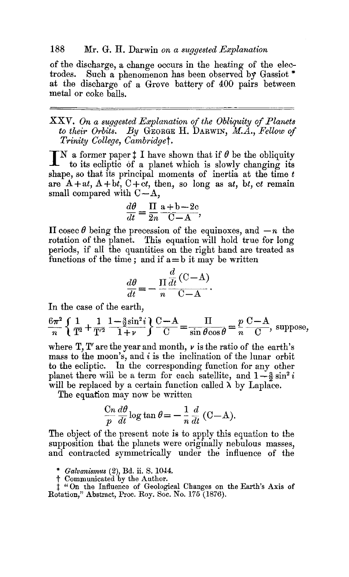## 188 Mr. G. H. Darwin *on a suggested Explanation*

of the discharge, a change occurs in the heating of the electrodes. Such a phenomenon has been observed by Gassiot.\* Such a phenomenon has been observed by Gassiot  $*$ at the discharge of a Grove battery of 400 pairs between metal or coke balls.

XXV. On a suggested Explanation of the Obliquity of Planets  $to$  their Orbits. By GEORGE H. DARWIN,  $M.A.,$  Fellow of *Trinity College, Cambridget.* 

 $\mathbb{T} N$  a former paper  $\ddagger$  I have shown that if  $\theta$  be the obliquity to its ecliptic of a planet which is slowly changing its shape, so that its principal moments of inertia at the time  $t$ are  $A + at$ ,  $A + bt$ ,  $C + ct$ , then, so long as at, bt, ct remain small compared with  $C-A$ ,

$$
\frac{d\theta}{dt} = \frac{\Pi}{2n} \frac{a+b-2c}{C-A},
$$

II cosec  $\theta$  being the precession of the equinoxes, and  $-n$  the rotation of the planet. This equation will hold true for long periods, if all the quantities on the right hand are treated as functions of the time; and if  $a=b$  it may be written

$$
\frac{d\theta}{dt} = -\frac{\Pi}{n} \frac{\frac{d}{dt} (\mathbf{C} - \mathbf{A})}{\mathbf{C} - \mathbf{A}}.
$$

In the case of the earth,

$$
\frac{6\pi^2}{n} \left\{ \frac{1}{T^2} + \frac{1}{T'^2} \frac{1 - \frac{3}{2} \sin^2 i}{1 + \nu} \right\} \frac{C - A}{C} = \frac{\Pi}{\sin \theta \cos \theta} = \frac{p}{n} \frac{C - A}{C}, \text{ suppose,}
$$

where  $T, T'$  are the year and month,  $\nu$  is the ratio of the earth's mass to the moon's, and  $i$  is the inclination of the lunar orbit to the ecliptic. In the corresponding function for any other planet there will be a term for each satellite, and  $1-\frac{3}{2}\sin^2 i$ will be replaced by a certain function called  $\lambda$  by Laplace.

The equation may now be written

$$
\frac{\text{C}n}{p}\frac{d\theta}{dt}\log\tan\theta = -\frac{1}{n}\frac{d}{dt}(\text{C}-\text{A}).
$$

The object of the present note is to apply this equation to the supposition that the planets were originally nebulous masses, and contracted symmetrically under the influence of the

*\* Galvanismus (2),* Bd. it. S. 1044.

t Communicated by the Author.

*\$ "On* the Influence of Geological Changes on the Earth's Axis of Rotation," Abstract, Proc. Roy. Soc. No. *175* (1876).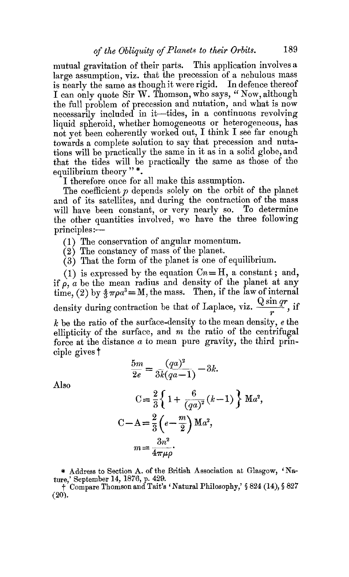mutual gravitation of their parts. This application involves a large assumption, viz. that the precession of a nebulous mass is nearly the same as though it were rigid. In defence thereof I can only quote Sir W. Thomson, who says, "Now, although the full problem of precession and nutation, and what is now necessarily included in it--tides, in a continuous revolving liquid spheroid, whether homogeneous or heterogeneous, has not yet been coherently workea out, I think I see far enough towards a complete solution to say that precession and nutations will be practically the same in it as in a solid globe, and that the tides will be practically the same as those of the equilibrium theory"\*.

I therefore once for all make this assumption.

The coefficient  $p$  depends solely on the orbit of the planet and of its satellites, and during the contraction of the mass will have been constant, or very nearly so. To determine the other quantities involved, we have the three following  $principle: -$ 

(1) The conservation of angular momentum.

(2) The constancy of mass of the planet.

(3) That the form of the planet is one of equilibrium.

(1) is expressed by the equation  $C_n=H$ , a constant; and, if  $\rho$ , *a* be the mean radius and density of the planet at any time, (2) by  $\frac{4}{3}\pi\rho a^3 = M$ , the mass. Then, if the law of internal density during contraction be that of Laplace, viz.  $\frac{q \cos \alpha}{r}$ , if  $k$  be the ratio of the surface-density to the mean density,  $e$  the ellipticity of the surface, and  $m$  the ratio of the centrifugal force at the distance  $a$  to mean pure gravity, the third principle gives t

$$
\frac{5m}{2e} = \frac{(qa)^2}{3k(qa-1)} - 3k.
$$

Also

$$
C = \frac{2}{3} \left\{ 1 + \frac{6}{(qa)^2} (k-1) \right\} M a^2,
$$
  
\n
$$
C - A = \frac{2}{3} \left( e - \frac{m}{2} \right) M a^2,
$$
  
\n
$$
m = \frac{3n^2}{4\pi\mu\rho}.
$$

\* Address to Section A. of the British Association at Glasgow, 'Na-

ture,' September 14, 1876, p. 429.<br>† Compare Thomson and Tait's ' Natural Philosophy,' § 824 (14), § 827  $(20).$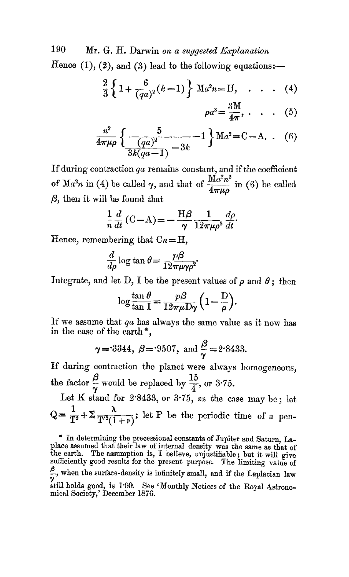190 Mr. G. H. Darwin *on a suggested Explanation* 

Hence  $(1)$ ,  $(2)$ , and  $(3)$  lead to the following equations:-

$$
\frac{2}{3}\left\{1+\frac{6}{(qa)^2}(k-1)\right\}\,\mathrm{M}a^2n=\mathrm{H},\quad.\quad.\quad.\quad.\quad(4)
$$

$$
\rho a^3 = \frac{3M}{4\pi}, \qquad (5)
$$

$$
\frac{n^2}{4\pi\mu\rho} \left\{ \frac{5}{\frac{(qa)^2}{3k(qa-1)} - 3k} - 1 \right\} \text{M}a^2 = \text{C} - \text{A.} \quad (6)
$$

If during contraction  $qa$  remains constant, and if the coefficient of Ma<sup>2</sup>n in (4) be called  $\gamma$ , and that of  $\frac{M a^2 n^2}{4}$  in (6) be called  $\beta$ , then it will be found that

$$
\frac{1}{n}\frac{d}{dt}\left(\mathbf{C}-\mathbf{A}\right)=-\frac{\mathbf{H}\boldsymbol{\beta}}{\gamma}\frac{1}{12\pi\mu\rho^2}\frac{d\rho}{dt}.
$$

Hence, remembering that  $C_n = H$ ,

$$
\frac{d}{d\rho}\log\tan\theta = \frac{p\beta}{12\pi\mu\gamma\rho^2}.
$$

Integrate, and let D, I be the present values of  $\rho$  and  $\theta$ ; then

$$
\log \frac{\tan \theta}{\tan I} = \frac{p\beta}{12\pi\mu D\gamma} \left(1 - \frac{D}{\rho}\right).
$$

If we assume that *qa* has always the same value as it now has in the case of the earth\*,

$$
\gamma = 3344
$$
,  $\beta = 9507$ , and  $\frac{\beta}{\gamma} = 2.8433$ .

If during contraction the planet were always homogeneous, the factor  $\frac{\beta}{\gamma}$  would be replaced by  $\frac{15}{4}$ , or 3.75.

Let K stand for  $2.8433$ , or  $3.75$ , as the case may be; let  $Q = \frac{1}{T^2} + \sum_{T \mid T \geq (1+r)} \lambda$ ; let P be the periodic time of a pen-

<sup>\*</sup> In determining the precessional constants of Jupiter and Saturn, Laplace assumed that their law of internal density was the same as that of the earth. The assumption is, I believe, unjustifiable ; but it will give sufficiently good results for the present purpose. The limiting value of  $\frac{\beta}{\gamma}$ , when the surface-density is infinitely small, and if the Laplacian law ~ti11 holds good, is 1'99. See 'Monthly Notices of the Royal Astrono-mical Society,' December 1876.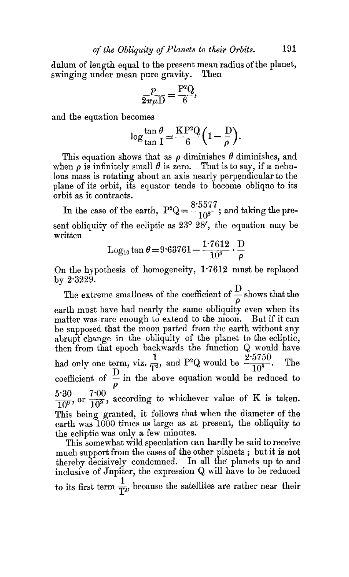dulum of length equal to the present mean radius of the planet, swinging under mean pure gravity. Then

$$
\frac{p}{2\pi\mu\mathcal{D}} = \frac{\mathcal{P}^2\mathcal{Q}}{6},
$$

and the equation becomes

$$
\log \frac{\tan \theta}{\tan 1} = \frac{\mathrm{KP}^2 \mathrm{Q}}{6} \left( 1 - \frac{\mathrm{D}}{\rho} \right).
$$

This equation shows that as  $\rho$  diminishes  $\theta$  diminishes, and when  $\rho$  is infinitely small  $\theta$  is zero. That is to say, if a nebulous mass is rotating about an axis nearly perpendicular to the plane of its orbit, its equator tends to become oblique to its orbit as it contracts.

In the case of the earth,  $P^2Q = \frac{8.5577}{10^8}$ ; and taking the present obliquity of the ecliptic as  $23^{\circ}$   $28'$ , the equation may be written

$$
Log_{10} \tan \theta = 9.63761 - \frac{1.7612}{10^8} \cdot \frac{D}{\rho}
$$

On the hypothesis of homogeneity, 1"7612 must be replaced by  $2.3229$ .

The extreme smallness of the coefficient of  $\frac{1}{2}$  shows that the P earth must have had nearly the same obliquity even when its matter was rare enough to extend to the moon. But if it can be supposed that the moon parted from the earth without any abrupt change in the obliquity of the planet to the ecliptic, then from that epoch backwards the function Q would have had only one term, viz.  $\frac{1}{T^2}$ , and P<sup>2</sup>Q would be  $\frac{2.5750}{10^8}$ . The coefficient of  $\tilde{=}$  in the above equation would be reduced to P  $\frac{5.30}{200}$ , or  $\frac{7.00}{100}$ , according to whichever value of K is taken. This being granted, it follows that when the diameter of the earth was 1000 times as large as at present, the obliquity to the ecliptic was only a few minutes.

This somewhat wild speculation can hardly be said to receive much support from the cases of the other planets ; but it is not thereby decisively condemned. In all the planets up to and inclusive of Jupiter, the expression  $Q$  will have to be reduced to its first term  $\frac{1}{T^2}$ , because the satellites are rather near their